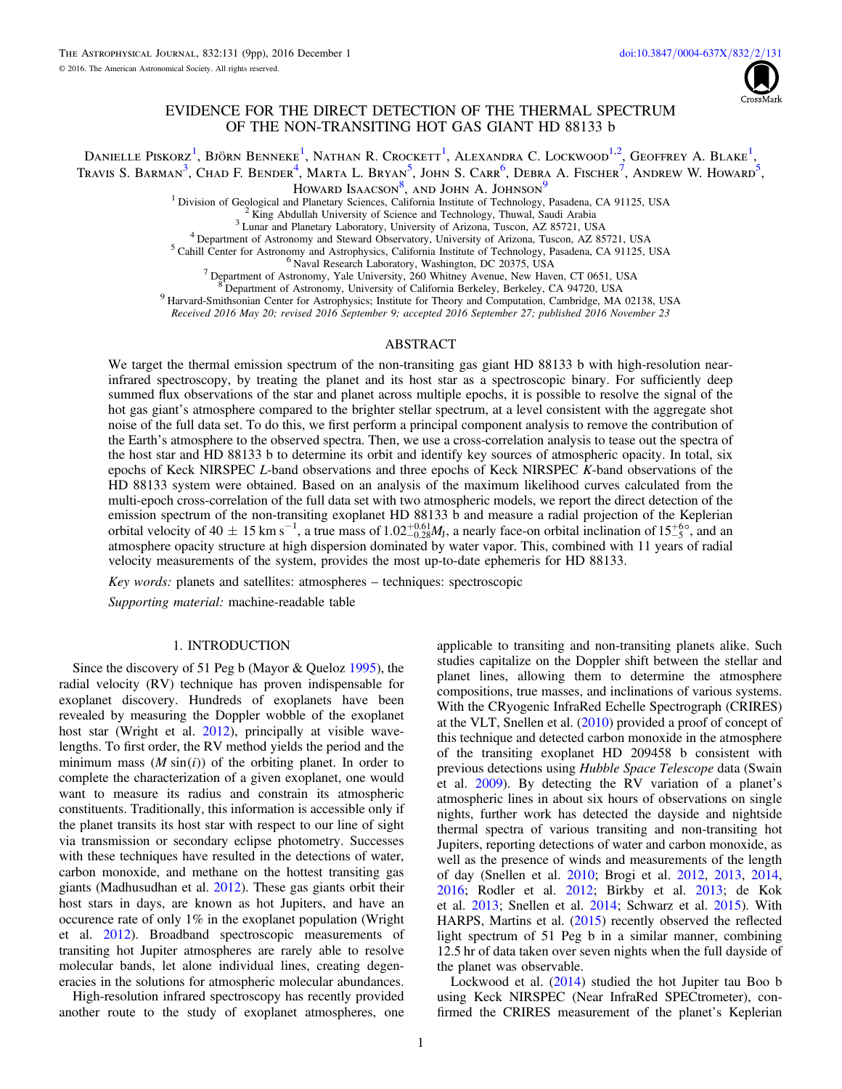

# EVIDENCE FOR THE DIRECT DETECTION OF THE THERMAL SPECTRUM OF THE NON-TRANSITING HOT GAS GIANT HD 88133 b

<span id="page-0-5"></span><span id="page-0-4"></span><span id="page-0-3"></span><span id="page-0-2"></span><span id="page-0-1"></span><span id="page-0-0"></span>Danielle Piskorz<sup>[1](#page-0-0)</sup>, Björn Benneke<sup>1</sup>, Nathan R. Crockett<sup>1</sup>, Alexandra C. Lockwood<sup>[1,](#page-0-0)[2](#page-0-1)</sup>, Geoffrey A. Blake<sup>1</sup>, Travis S. Barman<sup>[3](#page-0-2)</sup>, Chad F. Bender<sup>[4](#page-0-3)</sup>, Marta L. Bryan<sup>[5](#page-0-4)</sup>, John S. Carr<sup>[6](#page-0-5)</sup>, Debra A. Fischer<sup>[7](#page-0-6)</sup>, Andrew W. Howard<sup>5</sup>,

Howard Isaacson<sup>[8](#page-0-7)</sup>, and John A. Johnson<sup>[9](#page-0-8)</sup>

<sup>1</sup> Division of Geological and Planetary Sciences, California Institute of Technology, Pasadena, CA 91125, USA<br><sup>2</sup> King Abdullah University of Science and Technology, Thuwal, Saudi Arabia<br><sup>3</sup> Lunar and Planetary Laborator

Received 2016 May 20; revised 2016 September 9; accepted 2016 September 27; published 2016 November 23

### ABSTRACT

<span id="page-0-8"></span><span id="page-0-7"></span><span id="page-0-6"></span>We target the thermal emission spectrum of the non-transiting gas giant HD 88133 b with high-resolution nearinfrared spectroscopy, by treating the planet and its host star as a spectroscopic binary. For sufficiently deep summed flux observations of the star and planet across multiple epochs, it is possible to resolve the signal of the hot gas giant's atmosphere compared to the brighter stellar spectrum, at a level consistent with the aggregate shot noise of the full data set. To do this, we first perform a principal component analysis to remove the contribution of the Earth's atmosphere to the observed spectra. Then, we use a cross-correlation analysis to tease out the spectra of the host star and HD 88133 b to determine its orbit and identify key sources of atmospheric opacity. In total, six epochs of Keck NIRSPEC L-band observations and three epochs of Keck NIRSPEC K-band observations of the HD 88133 system were obtained. Based on an analysis of the maximum likelihood curves calculated from the multi-epoch cross-correlation of the full data set with two atmospheric models, we report the direct detection of the emission spectrum of the non-transiting exoplanet HD 88133 b and measure a radial projection of the Keplerian orbital velocity of 40  $\pm$  15 km s<sup>-1</sup>, a true mass of 1.02<sup>+0.61</sup>*M*<sub>J</sub>, a nearly face-on orbital inclination of 15<sup>+6</sup>°, and an atmosphere opacity structure at high dispersion dominated by water vapor. This, combined with 11 years of radial velocity measurements of the system, provides the most up-to-date ephemeris for HD 88133.

Key words: planets and satellites: atmospheres – techniques: spectroscopic

Supporting material: machine-readable table

### 1. INTRODUCTION

Since the discovery of 51 Peg b (Mayor & Queloz [1995](#page-8-0)), the radial velocity (RV) technique has proven indispensable for exoplanet discovery. Hundreds of exoplanets have been revealed by measuring the Doppler wobble of the exoplanet host star (Wright et al. [2012](#page-8-1)), principally at visible wavelengths. To first order, the RV method yields the period and the minimum mass  $(M \sin(i))$  of the orbiting planet. In order to complete the characterization of a given exoplanet, one would want to measure its radius and constrain its atmospheric constituents. Traditionally, this information is accessible only if the planet transits its host star with respect to our line of sight via transmission or secondary eclipse photometry. Successes with these techniques have resulted in the detections of water, carbon monoxide, and methane on the hottest transiting gas giants (Madhusudhan et al. [2012](#page-8-2)). These gas giants orbit their host stars in days, are known as hot Jupiters, and have an occurence rate of only 1% in the exoplanet population (Wright et al. [2012](#page-8-1)). Broadband spectroscopic measurements of transiting hot Jupiter atmospheres are rarely able to resolve molecular bands, let alone individual lines, creating degeneracies in the solutions for atmospheric molecular abundances.

High-resolution infrared spectroscopy has recently provided another route to the study of exoplanet atmospheres, one

applicable to transiting and non-transiting planets alike. Such studies capitalize on the Doppler shift between the stellar and planet lines, allowing them to determine the atmosphere compositions, true masses, and inclinations of various systems. With the CRyogenic InfraRed Echelle Spectrograph (CRIRES) at the VLT, Snellen et al. ([2010](#page-8-3)) provided a proof of concept of this technique and detected carbon monoxide in the atmosphere of the transiting exoplanet HD 209458 b consistent with previous detections using Hubble Space Telescope data (Swain et al. [2009](#page-8-4)). By detecting the RV variation of a planet's atmospheric lines in about six hours of observations on single nights, further work has detected the dayside and nightside thermal spectra of various transiting and non-transiting hot Jupiters, reporting detections of water and carbon monoxide, as well as the presence of winds and measurements of the length of day (Snellen et al. [2010;](#page-8-3) Brogi et al. [2012,](#page-8-5) [2013](#page-8-6), [2014](#page-8-7), [2016;](#page-8-8) Rodler et al. [2012;](#page-8-9) Birkby et al. [2013](#page-8-10); de Kok et al. [2013](#page-8-11); Snellen et al. [2014;](#page-8-12) Schwarz et al. [2015](#page-8-13)). With HARPS, Martins et al. ([2015](#page-8-14)) recently observed the reflected light spectrum of 51 Peg b in a similar manner, combining 12.5 hr of data taken over seven nights when the full dayside of the planet was observable.

Lockwood et al. ([2014](#page-8-15)) studied the hot Jupiter tau Boo b using Keck NIRSPEC (Near InfraRed SPECtrometer), confirmed the CRIRES measurement of the planet's Keplerian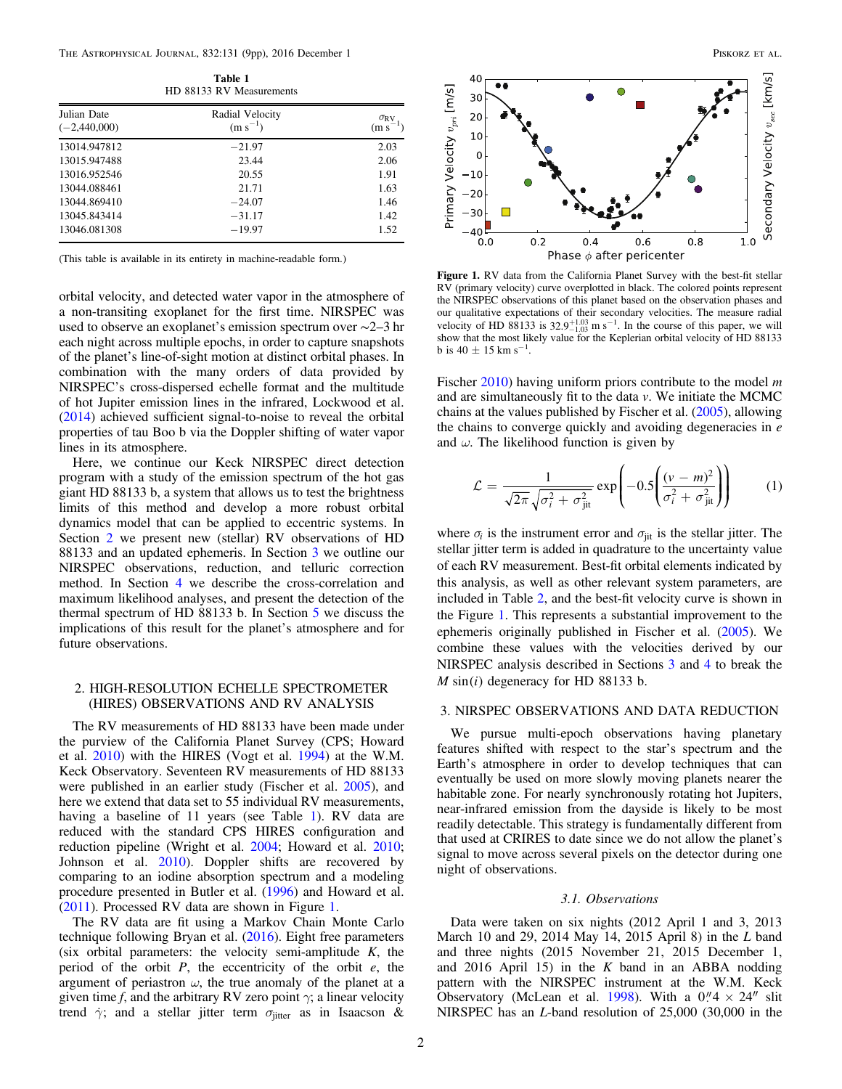<span id="page-1-2"></span>

| HD 88133 RV Measurements      |                                 |                                   |  |  |  |
|-------------------------------|---------------------------------|-----------------------------------|--|--|--|
| Julian Date<br>$(-2,440,000)$ | Radial Velocity<br>$(m s^{-1})$ | $\sigma_{\rm RV}$<br>$(m s^{-1})$ |  |  |  |
| 13014.947812                  | $-21.97$                        | 2.03                              |  |  |  |
| 13015.947488                  | 23.44                           | 2.06                              |  |  |  |
| 13016.952546                  | 20.55                           | 1.91                              |  |  |  |
| 13044.088461                  | 21.71                           | 1.63                              |  |  |  |
| 13044.869410                  | $-24.07$                        | 1.46                              |  |  |  |
| 13045.843414                  | $-31.17$                        | 1.42                              |  |  |  |
| 13046.081308                  | $-19.97$                        | 1.52                              |  |  |  |

Table 1  $RV$  Me

(This table is available in its entirety in machine-readable form.)

orbital velocity, and detected water vapor in the atmosphere of a non-transiting exoplanet for the first time. NIRSPEC was used to observe an exoplanet's emission spectrum over ∼2–3 hr each night across multiple epochs, in order to capture snapshots of the planet's line-of-sight motion at distinct orbital phases. In combination with the many orders of data provided by NIRSPEC's cross-dispersed echelle format and the multitude of hot Jupiter emission lines in the infrared, Lockwood et al. ([2014](#page-8-15)) achieved sufficient signal-to-noise to reveal the orbital properties of tau Boo b via the Doppler shifting of water vapor lines in its atmosphere.

Here, we continue our Keck NIRSPEC direct detection program with a study of the emission spectrum of the hot gas giant HD 88133 b, a system that allows us to test the brightness limits of this method and develop a more robust orbital dynamics model that can be applied to eccentric systems. In Section [2](#page-1-0) we present new (stellar) RV observations of HD 88133 and an updated ephemeris. In Section [3](#page-1-1) we outline our NIRSPEC observations, reduction, and telluric correction method. In Section [4](#page-4-0) we describe the cross-correlation and maximum likelihood analyses, and present the detection of the thermal spectrum of HD 88133 b. In Section [5](#page-6-0) we discuss the implications of this result for the planet's atmosphere and for future observations.

## <span id="page-1-0"></span>2. HIGH-RESOLUTION ECHELLE SPECTROMETER (HIRES) OBSERVATIONS AND RV ANALYSIS

The RV measurements of HD 88133 have been made under the purview of the California Planet Survey (CPS; Howard et al. [2010](#page-8-16)) with the HIRES (Vogt et al. [1994](#page-8-17)) at the W.M. Keck Observatory. Seventeen RV measurements of HD 88133 were published in an earlier study (Fischer et al. [2005](#page-8-18)), and here we extend that data set to 55 individual RV measurements, having a baseline of [1](#page-1-2)1 years (see Table 1). RV data are reduced with the standard CPS HIRES configuration and reduction pipeline (Wright et al. [2004](#page-8-19); Howard et al. [2010](#page-8-16); Johnson et al. [2010](#page-8-20)). Doppler shifts are recovered by comparing to an iodine absorption spectrum and a modeling procedure presented in Butler et al. ([1996](#page-8-21)) and Howard et al. ([2011](#page-8-22)). Processed RV data are shown in Figure [1](#page-1-3).

The RV data are fit using a Markov Chain Monte Carlo technique following Bryan et al. ([2016](#page-8-23)). Eight free parameters (six orbital parameters: the velocity semi-amplitude  $K$ , the period of the orbit  $P$ , the eccentricity of the orbit  $e$ , the argument of periastron  $\omega$ , the true anomaly of the planet at a given time f, and the arbitrary RV zero point  $\gamma$ ; a linear velocity trend  $\dot{\gamma}$ ; and a stellar jitter term  $\sigma$ <sub>jitter</sub> as in Isaacson &

<span id="page-1-3"></span>

Figure 1. RV data from the California Planet Survey with the best-fit stellar RV (primary velocity) curve overplotted in black. The colored points represent the NIRSPEC observations of this planet based on the observation phases and our qualitative expectations of their secondary velocities. The measure radial velocity of HD 88133 is  $32.9^{+1.03}_{-1.03}$  m s<sup>-1</sup>. In the course of this paper, we will show that the most likely value for the Keplerian orbital velocity of HD 88133 b is  $40 \pm 15$  km s<sup>-1</sup>.

Phase  $\phi$  after pericenter

Fischer [2010](#page-8-24)) having uniform priors contribute to the model  $m$ and are simultaneously fit to the data  $v$ . We initiate the MCMC chains at the values published by Fischer et al. ([2005](#page-8-18)), allowing the chains to converge quickly and avoiding degeneracies in  $e$ and  $\omega$ . The likelihood function is given by

$$
\mathcal{L} = \frac{1}{\sqrt{2\pi}\sqrt{\sigma_i^2 + \sigma_{\text{jit}}^2}} \exp\left(-0.5\left(\frac{(v - m)^2}{\sigma_i^2 + \sigma_{\text{jit}}^2}\right)\right) \tag{1}
$$

where  $\sigma_i$  is the instrument error and  $\sigma_{\rm{ijt}}$  is the stellar jitter. The stellar jitter term is added in quadrature to the uncertainty value of each RV measurement. Best-fit orbital elements indicated by this analysis, as well as other relevant system parameters, are included in Table [2,](#page-2-0) and the best-fit velocity curve is shown in the Figure [1](#page-1-3). This represents a substantial improvement to the ephemeris originally published in Fischer et al. ([2005](#page-8-18)). We combine these values with the velocities derived by our NIRSPEC analysis described in Sections [3](#page-1-1) and [4](#page-4-0) to break the  $M \sin(i)$  degeneracy for HD 88133 b.

## <span id="page-1-1"></span>3. NIRSPEC OBSERVATIONS AND DATA REDUCTION

We pursue multi-epoch observations having planetary features shifted with respect to the star's spectrum and the Earth's atmosphere in order to develop techniques that can eventually be used on more slowly moving planets nearer the habitable zone. For nearly synchronously rotating hot Jupiters, near-infrared emission from the dayside is likely to be most readily detectable. This strategy is fundamentally different from that used at CRIRES to date since we do not allow the planet's signal to move across several pixels on the detector during one night of observations.

### 3.1. Observations

Data were taken on six nights (2012 April 1 and 3, 2013 March 10 and 29, 2014 May 14, 2015 April 8) in the L band and three nights (2015 November 21, 2015 December 1, and 2016 April 15) in the  $K$  band in an ABBA nodding pattern with the NIRSPEC instrument at the W.M. Keck Observatory (McLean et al. [1998](#page-8-25)). With a  $0''/4 \times 24''$  slit NIRSPEC has an L-band resolution of 25,000 (30,000 in the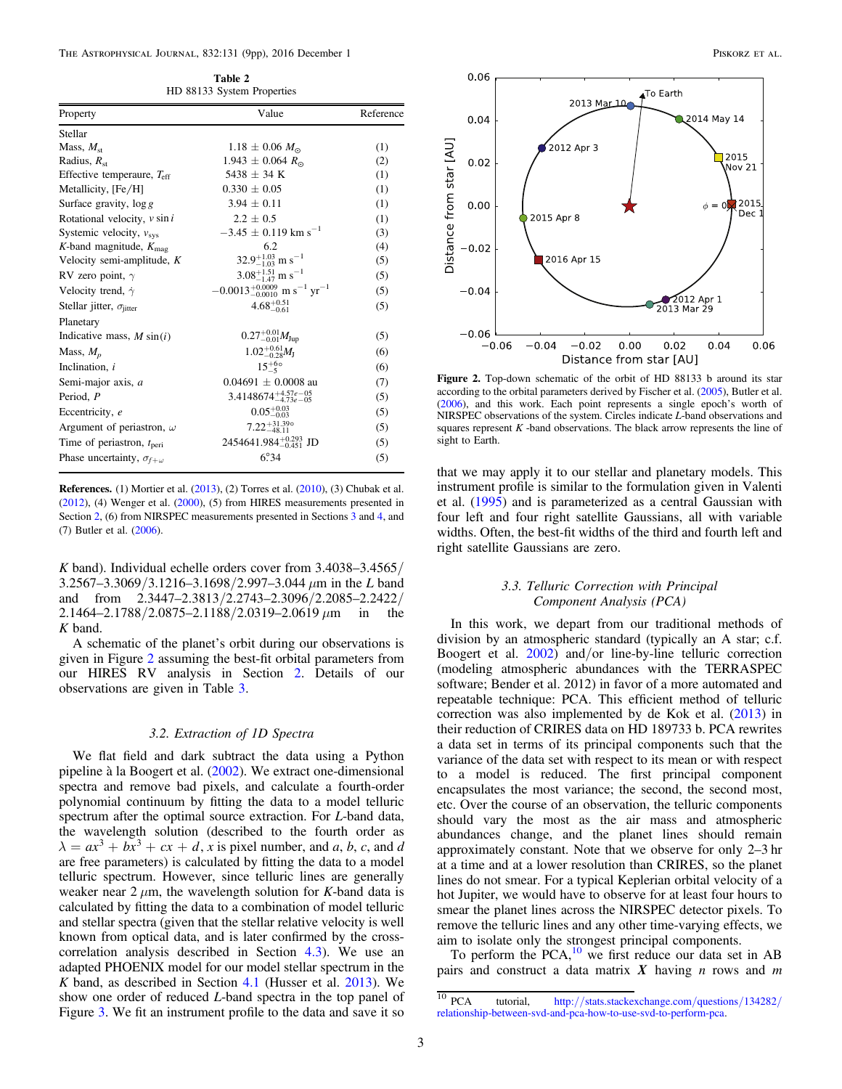Table 2 HD 88133 System Properties

<span id="page-2-0"></span>

| Property                                 | Value                                                            | Reference |  |
|------------------------------------------|------------------------------------------------------------------|-----------|--|
| Stellar                                  |                                                                  |           |  |
| Mass, $M_{st}$                           | $1.18 \pm 0.06$ $M_{\odot}$                                      | (1)       |  |
| Radius, $R_{\rm st}$                     | $1.943 \pm 0.064 R_{\odot}$                                      | (2)       |  |
| Effective temperaure, $T_{\text{eff}}$   | 5438 $\pm$ 34 K                                                  | (1)       |  |
| Metallicity, [Fe/H]                      | $0.330 \pm 0.05$                                                 | (1)       |  |
| Surface gravity, $\log g$                | $3.94 \pm 0.11$                                                  | (1)       |  |
| Rotational velocity, $v \sin i$          | $2.2 \pm 0.5$                                                    | (1)       |  |
| Systemic velocity, $v_{\rm sys}$         | $-3.45 \pm 0.119$ km s <sup>-1</sup>                             | (3)       |  |
| K-band magnitude, $K_{\text{mag}}$       | 6.2                                                              | (4)       |  |
| Velocity semi-amplitude, $K$             | $32.9^{+1.03}_{-1.03}$ m s <sup>-1</sup>                         | (5)       |  |
| RV zero point, $\gamma$                  | $3.08^{+1.51}_{-1.47}$ m s <sup>-1</sup>                         | (5)       |  |
| Velocity trend, $\dot{\gamma}$           | $-0.0013_{-0.0010}^{+0.0009}$ m s <sup>-1</sup> yr <sup>-1</sup> | (5)       |  |
| Stellar jitter, $\sigma_{\text{jitter}}$ | $4.68^{+0.51}_{-0.61}$                                           | (5)       |  |
| Planetary                                |                                                                  |           |  |
| Indicative mass, $M \sin(i)$             | $0.27^{+0.01}_{-0.01}M_{\text{Jup}}$                             | (5)       |  |
| Mass, $M_n$                              | $1.02^{+0.61}_{-0.28}M_{\rm J}$                                  | (6)       |  |
| Inclination, i                           | $15^{+60}_{-5}$                                                  | (6)       |  |
| Semi-major axis, a                       | $0.04691 \pm 0.0008$ au                                          | (7)       |  |
| Period, P                                | $3.4148674^{+4.57e-05}_{-4.73e-05}$                              | (5)       |  |
| Eccentricity, e                          | $0.05_{-0.03}^{+0.03}$                                           | (5)       |  |
| Argument of periastron, $\omega$         | $7.22_{-48.11}^{+31.390}$                                        | (5)       |  |
| Time of periastron, $t_{\text{peri}}$    | 2454641.984 $^{+0.293}_{-0.451}$ JD                              | (5)       |  |
| Phase uncertainty, $\sigma_{f+\omega}$   | 6.34                                                             | (5)       |  |
|                                          |                                                                  |           |  |

References. (1) Mortier et al. ([2013](#page-8-29)), (2) Torres et al. ([2010](#page-8-30)), (3) Chubak et al. ([2012](#page-8-31)), (4) Wenger et al. ([2000](#page-8-32)), (5) from HIRES measurements presented in Section [2,](#page-1-0) (6) from NIRSPEC measurements presented in Sections [3](#page-1-1) and [4,](#page-4-0) and (7) Butler et al. ([2006](#page-8-33)).

K band). Individual echelle orders cover from  $3.4038 - 3.4565$  $3.2567 - 3.3069 / 3.1216 - 3.1698 / 2.997 - 3.044 \mu m$  in the L band and from 2.3447–2.3813/2.2743–2.3096/2.2085–2.2422/  $2.1464 - 2.1788/2.0875 - 2.1188/2.0319 - 2.0619 \,\mu m$  in the K band.

A schematic of the planet's orbit during our observations is given in Figure [2](#page-2-1) assuming the best-fit orbital parameters from our HIRES RV analysis in Section [2](#page-1-0). Details of our observations are given in Table [3](#page-3-0).

### 3.2. Extraction of 1D Spectra

<span id="page-2-3"></span>We flat field and dark subtract the data using a Python pipeline à la Boogert et al. ([2002](#page-8-26)). We extract one-dimensional spectra and remove bad pixels, and calculate a fourth-order polynomial continuum by fitting the data to a model telluric spectrum after the optimal source extraction. For *L*-band data, the wavelength solution (described to the fourth order as  $\lambda = ax^3 + bx^3 + cx + d$ , x is pixel number, and a, b, c, and d are free parameters) is calculated by fitting the data to a model telluric spectrum. However, since telluric lines are generally weaker near 2  $\mu$ m, the wavelength solution for K-band data is calculated by fitting the data to a combination of model telluric and stellar spectra (given that the stellar relative velocity is well known from optical data, and is later confirmed by the crosscorrelation analysis described in Section [4.3](#page-5-0)). We use an adapted PHOENIX model for our model stellar spectrum in the K band, as described in Section [4.1](#page-4-1) (Husser et al. [2013](#page-8-27)). We show one order of reduced L-band spectra in the top panel of Figure [3](#page-3-1). We fit an instrument profile to the data and save it so

<span id="page-2-1"></span>

Figure 2. Top-down schematic of the orbit of HD 88133 b around its star according to the orbital parameters derived by Fischer et al. ([2005](#page-8-18)), Butler et al. ([2006](#page-8-33)), and this work. Each point represents a single epoch's worth of NIRSPEC observations of the system. Circles indicate L-band observations and squares represent  $K$ -band observations. The black arrow represents the line of sight to Earth.

that we may apply it to our stellar and planetary models. This instrument profile is similar to the formulation given in Valenti et al. ([1995](#page-8-28)) and is parameterized as a central Gaussian with four left and four right satellite Gaussians, all with variable widths. Often, the best-fit widths of the third and fourth left and right satellite Gaussians are zero.

### 3.3. Telluric Correction with Principal Component Analysis (PCA)

<span id="page-2-4"></span>In this work, we depart from our traditional methods of division by an atmospheric standard (typically an A star; c.f. Boogert et al. [2002](#page-8-26)) and/or line-by-line telluric correction (modeling atmospheric abundances with the TERRASPEC software; Bender et al. 2012) in favor of a more automated and repeatable technique: PCA. This efficient method of telluric correction was also implemented by de Kok et al. ([2013](#page-8-11)) in their reduction of CRIRES data on HD 189733 b. PCA rewrites a data set in terms of its principal components such that the variance of the data set with respect to its mean or with respect to a model is reduced. The first principal component encapsulates the most variance; the second, the second most, etc. Over the course of an observation, the telluric components should vary the most as the air mass and atmospheric abundances change, and the planet lines should remain approximately constant. Note that we observe for only 2–3 hr at a time and at a lower resolution than CRIRES, so the planet lines do not smear. For a typical Keplerian orbital velocity of a hot Jupiter, we would have to observe for at least four hours to smear the planet lines across the NIRSPEC detector pixels. To remove the telluric lines and any other time-varying effects, we aim to isolate only the strongest principal components.

To perform the PCA, $^{10}$  $^{10}$  $^{10}$  we first reduce our data set in AB pairs and construct a data matrix  $\overline{X}$  having  $\overline{n}$  rows and  $\overline{m}$ 

<span id="page-2-2"></span><sup>10</sup> PCA tutorial, http://[stats.stackexchange.com](http://stats.stackexchange.com/questions/134282/relationship-between-svd-and-pca-how-to-use-svd-to-perform-pca)/questions/134282/ [relationship-between-svd-and-pca-how-to-use-svd-to-perform-pca](http://stats.stackexchange.com/questions/134282/relationship-between-svd-and-pca-how-to-use-svd-to-perform-pca).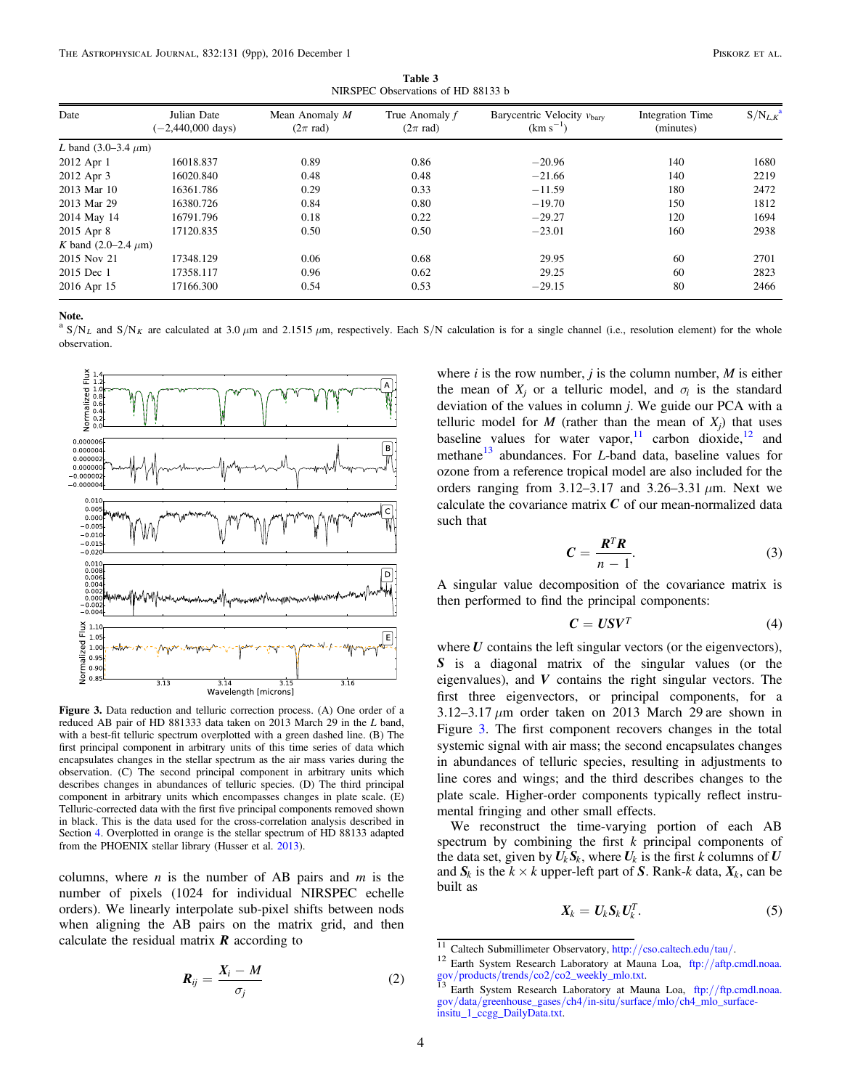Table 3 NIRSPEC Observations of HD 88133 b

<span id="page-3-0"></span>

| Date                       | Julian Date<br>$(-2,440,000 \text{ days})$ | Mean Anomaly $M$<br>$(2\pi \text{ rad})$ | True Anomaly f<br>$(2\pi \text{ rad})$ | Barycentric Velocity $v_{\text{bary}}$<br>$(km s^{-1})$ | Integration Time<br>(minutes) | $S/N_{L,K}$ <sup>a</sup> |
|----------------------------|--------------------------------------------|------------------------------------------|----------------------------------------|---------------------------------------------------------|-------------------------------|--------------------------|
| L band $(3.0-3.4 \mu m)$   |                                            |                                          |                                        |                                                         |                               |                          |
| 2012 Apr 1                 | 16018.837                                  | 0.89                                     | 0.86                                   | $-20.96$                                                | 140                           | 1680                     |
| 2012 Apr 3                 | 16020.840                                  | 0.48                                     | 0.48                                   | $-21.66$                                                | 140                           | 2219                     |
| 2013 Mar 10                | 16361.786                                  | 0.29                                     | 0.33                                   | $-11.59$                                                | 180                           | 2472                     |
| 2013 Mar 29                | 16380.726                                  | 0.84                                     | 0.80                                   | $-19.70$                                                | 150                           | 1812                     |
| 2014 May 14                | 16791.796                                  | 0.18                                     | 0.22                                   | $-29.27$                                                | 120                           | 1694                     |
| 2015 Apr 8                 | 17120.835                                  | 0.50                                     | 0.50                                   | $-23.01$                                                | 160                           | 2938                     |
| K band $(2.0-2.4 \ \mu m)$ |                                            |                                          |                                        |                                                         |                               |                          |
| 2015 Nov 21                | 17348.129                                  | 0.06                                     | 0.68                                   | 29.95                                                   | 60                            | 2701                     |
| 2015 Dec 1                 | 17358.117                                  | 0.96                                     | 0.62                                   | 29.25                                                   | 60                            | 2823                     |
| 2016 Apr 15                | 17166.300                                  | 0.54                                     | 0.53                                   | $-29.15$                                                | 80                            | 2466                     |

 $^{\text{a}}$  S/N<sub>L</sub> and S/N<sub>K</sub> are calculated at 3.0  $\mu$ m and 2.1515  $\mu$ m, respectively. Each S/N calculation is for a single channel (i.e., resolution element) for the whole observation.

<span id="page-3-1"></span>

Figure 3. Data reduction and telluric correction process. (A) One order of a reduced AB pair of HD 881333 data taken on 2013 March 29 in the L band, with a best-fit telluric spectrum overplotted with a green dashed line. (B) The first principal component in arbitrary units of this time series of data which encapsulates changes in the stellar spectrum as the air mass varies during the observation. (C) The second principal component in arbitrary units which describes changes in abundances of telluric species. (D) The third principal component in arbitrary units which encompasses changes in plate scale. (E) Telluric-corrected data with the first five principal components removed shown in black. This is the data used for the cross-correlation analysis described in Section [4](#page-4-0). Overplotted in orange is the stellar spectrum of HD 88133 adapted from the PHOENIX stellar library (Husser et al. [2013](#page-8-27)).

columns, where  $n$  is the number of AB pairs and  $m$  is the number of pixels (1024 for individual NIRSPEC echelle orders). We linearly interpolate sub-pixel shifts between nods when aligning the AB pairs on the matrix grid, and then calculate the residual matrix  $\bf{R}$  according to

$$
\boldsymbol{R}_{ij} = \frac{\boldsymbol{X}_i - \boldsymbol{M}}{\sigma_j} \tag{2}
$$

where i is the row number, j is the column number,  $M$  is either the mean of  $X_i$  or a telluric model, and  $\sigma_i$  is the standard deviation of the values in column  $j$ . We guide our PCA with a telluric model for  $M$  (rather than the mean of  $X_i$ ) that uses baseline values for water vapor,  $\frac{11}{12}$  $\frac{11}{12}$  $\frac{11}{12}$  $\frac{11}{12}$  $\frac{11}{12}$  carbon dioxide,  $\frac{12}{12}$  and methane<sup>[13](#page-3-4)</sup> abundances. For *L*-band data, baseline values for ozone from a reference tropical model are also included for the orders ranging from 3.12–3.17 and 3.26–3.31  $\mu$ m. Next we calculate the covariance matrix  $C$  of our mean-normalized data such that

$$
C = \frac{R^T R}{n - 1}.
$$
 (3)

A singular value decomposition of the covariance matrix is then performed to find the principal components:

$$
C = USV^T \tag{4}
$$

where  $U$  contains the left singular vectors (or the eigenvectors), *S* is a diagonal matrix of the singular values (or the eigenvalues), and *V* contains the right singular vectors. The first three eigenvectors, or principal components, for a 3.12–3.17  $\mu$ m order taken on 2013 March 29 are shown in Figure [3](#page-3-1). The first component recovers changes in the total systemic signal with air mass; the second encapsulates changes in abundances of telluric species, resulting in adjustments to line cores and wings; and the third describes changes to the plate scale. Higher-order components typically reflect instrumental fringing and other small effects.

We reconstruct the time-varying portion of each AB spectrum by combining the first  $k$  principal components of the data set, given by  $U_k S_k$ , where  $U_k$  is the first k columns of  $U$ and  $S_k$  is the  $k \times k$  upper-left part of *S*. Rank-k data,  $X_k$ , can be built as

$$
X_k = U_k S_k U_k^T. \tag{5}
$$

<span id="page-3-3"></span>

<span id="page-3-2"></span> $\frac{11}{11}$  Caltech Submillimeter Observatory, http://[cso.caltech.edu](http://cso.caltech.edu/tau/)/tau/.<br><sup>12</sup> Earth System Research Laboratory at Mauna Loa, ftp://[aftp.cmdl.noaa.](ftp://aftp.cmdl.noaa.gov/products/trends/co2/co2_weekly_mlo.txt) gov/products/trends/co2/[co2\\_weekly\\_mlo.txt.](ftp://aftp.cmdl.noaa.gov/products/trends/co2/co2_weekly_mlo.txt) <sup>13</sup> Earth System Research Laboratory at Mauna Loa, ftp://[ftp.cmdl.noaa.](ftp://ftp.cmdl.noaa.gov/data/greenhouse_gases/ch4/in-situ/surface/mlo/ch4_mlo_surface-insitu_1_ccgg_DailyData.txt)

<span id="page-3-4"></span>gov/data/[greenhouse\\_gases](ftp://ftp.cmdl.noaa.gov/data/greenhouse_gases/ch4/in-situ/surface/mlo/ch4_mlo_surface-insitu_1_ccgg_DailyData.txt)/ch4/in-situ/surface/mlo/ch4\_mlo\_surface[insitu\\_1\\_ccgg\\_DailyData.txt.](ftp://ftp.cmdl.noaa.gov/data/greenhouse_gases/ch4/in-situ/surface/mlo/ch4_mlo_surface-insitu_1_ccgg_DailyData.txt)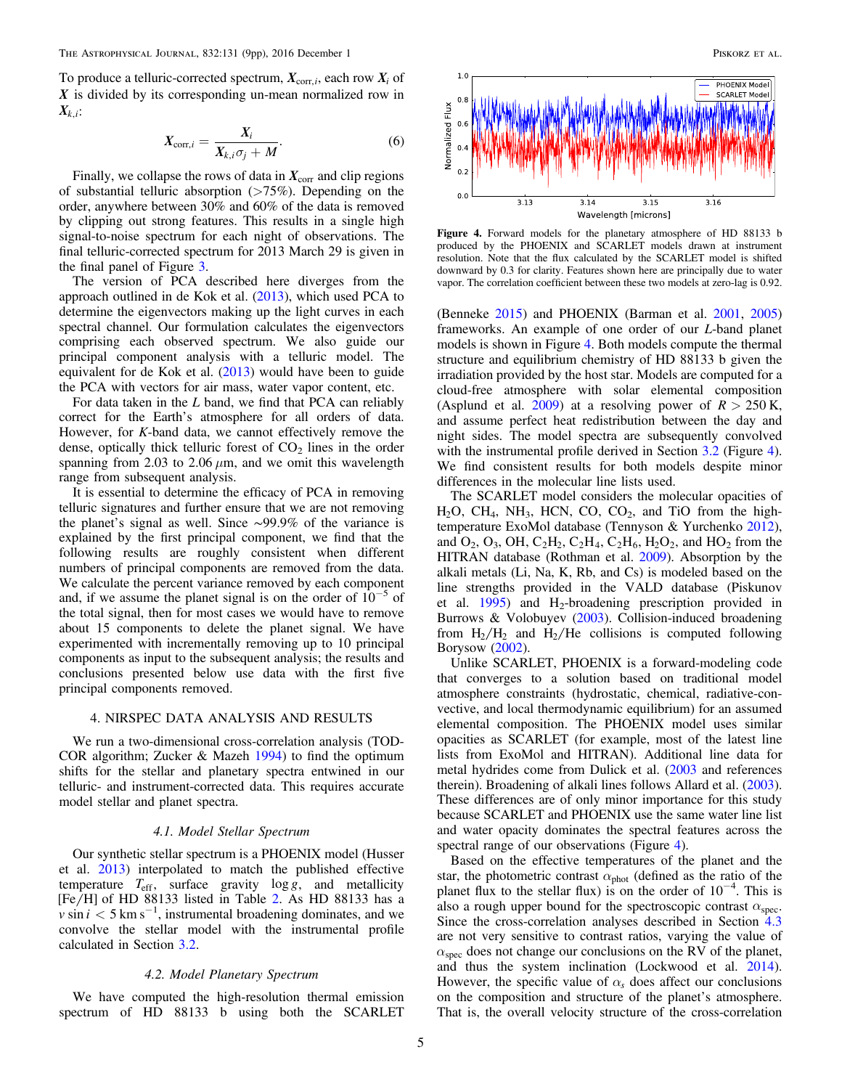To produce a telluric-corrected spectrum,  $X_{\text{corr},i}$ , each row  $X_i$  of *X* is divided by its corresponding un-mean normalized row in *X<sup>k</sup>*,*<sup>i</sup>*:

$$
X_{\text{corr},i} = \frac{X_i}{X_{k,i}\sigma_j + M}.\tag{6}
$$

Finally, we collapse the rows of data in  $X_{\text{corr}}$  and clip regions of substantial telluric absorption  $($ >75%). Depending on the order, anywhere between 30% and 60% of the data is removed by clipping out strong features. This results in a single high signal-to-noise spectrum for each night of observations. The final telluric-corrected spectrum for 2013 March 29 is given in the final panel of Figure [3](#page-3-1).

The version of PCA described here diverges from the approach outlined in de Kok et al. ([2013](#page-8-11)), which used PCA to determine the eigenvectors making up the light curves in each spectral channel. Our formulation calculates the eigenvectors comprising each observed spectrum. We also guide our principal component analysis with a telluric model. The equivalent for de Kok et al. ([2013](#page-8-11)) would have been to guide the PCA with vectors for air mass, water vapor content, etc.

For data taken in the L band, we find that PCA can reliably correct for the Earth's atmosphere for all orders of data. However, for  $K$ -band data, we cannot effectively remove the dense, optically thick telluric forest of  $CO<sub>2</sub>$  lines in the order spanning from 2.03 to 2.06  $\mu$ m, and we omit this wavelength range from subsequent analysis.

It is essential to determine the efficacy of PCA in removing telluric signatures and further ensure that we are not removing the planet's signal as well. Since ∼99.9% of the variance is explained by the first principal component, we find that the following results are roughly consistent when different numbers of principal components are removed from the data. We calculate the percent variance removed by each component and, if we assume the planet signal is on the order of  $10^{-5}$  of the total signal, then for most cases we would have to remove about 15 components to delete the planet signal. We have experimented with incrementally removing up to 10 principal components as input to the subsequent analysis; the results and conclusions presented below use data with the first five principal components removed.

#### 4. NIRSPEC DATA ANALYSIS AND RESULTS

<span id="page-4-0"></span>We run a two-dimensional cross-correlation analysis (TOD-COR algorithm; Zucker & Mazeh [1994](#page-8-34)) to find the optimum shifts for the stellar and planetary spectra entwined in our telluric- and instrument-corrected data. This requires accurate model stellar and planet spectra.

### 4.1. Model Stellar Spectrum

<span id="page-4-1"></span>Our synthetic stellar spectrum is a PHOENIX model (Husser et al. [2013](#page-8-27)) interpolated to match the published effective temperature  $T_{\text{eff}}$ , surface gravity  $\log g$ , and metallicity  $[Fe/H]$  of HD 88133 listed in Table [2.](#page-2-0) As HD 88133 has a  $\nu \sin i < 5$  km s<sup>-1</sup>, instrumental broadening dominates, and we convolve the stellar model with the instrumental profile calculated in Section [3.2](#page-2-3).

### 4.2. Model Planetary Spectrum

We have computed the high-resolution thermal emission spectrum of HD 88133 b using both the SCARLET

<span id="page-4-2"></span>

Figure 4. Forward models for the planetary atmosphere of HD 88133 b produced by the PHOENIX and SCARLET models drawn at instrument resolution. Note that the flux calculated by the SCARLET model is shifted downward by 0.3 for clarity. Features shown here are principally due to water vapor. The correlation coefficient between these two models at zero-lag is 0.92.

(Benneke [2015](#page-8-35)) and PHOENIX (Barman et al. [2001,](#page-8-36) [2005](#page-8-37)) frameworks. An example of one order of our L-band planet models is shown in Figure [4.](#page-4-2) Both models compute the thermal structure and equilibrium chemistry of HD 88133 b given the irradiation provided by the host star. Models are computed for a cloud-free atmosphere with solar elemental composition (Asplund et al. [2009](#page-8-38)) at a resolving power of  $R > 250$  K, and assume perfect heat redistribution between the day and night sides. The model spectra are subsequently convolved with the instrumental profile derived in Section [3.2](#page-2-3) (Figure [4](#page-4-2)). We find consistent results for both models despite minor differences in the molecular line lists used.

The SCARLET model considers the molecular opacities of  $H<sub>2</sub>O$ , CH<sub>4</sub>, NH<sub>3</sub>, HCN, CO, CO<sub>2</sub>, and TiO from the hightemperature ExoMol database (Tennyson & Yurchenko [2012](#page-8-39)), and  $O_2$ ,  $O_3$ , OH,  $C_2H_2$ ,  $C_2H_4$ ,  $C_2H_6$ ,  $H_2O_2$ , and  $HO_2$  from the HITRAN database (Rothman et al. [2009](#page-8-40)). Absorption by the alkali metals (Li, Na, K, Rb, and Cs) is modeled based on the line strengths provided in the VALD database (Piskunov et al.  $1995$ ) and H<sub>2</sub>-broadening prescription provided in Burrows & Volobuyev ([2003](#page-8-42)). Collision-induced broadening from  $H_2/H_2$  and  $H_2/He$  collisions is computed following Borysow ([2002](#page-8-43)).

Unlike SCARLET, PHOENIX is a forward-modeling code that converges to a solution based on traditional model atmosphere constraints (hydrostatic, chemical, radiative-convective, and local thermodynamic equilibrium) for an assumed elemental composition. The PHOENIX model uses similar opacities as SCARLET (for example, most of the latest line lists from ExoMol and HITRAN). Additional line data for metal hydrides come from Dulick et al. ([2003](#page-8-44) and references therein). Broadening of alkali lines follows Allard et al. ([2003](#page-8-45)). These differences are of only minor importance for this study because SCARLET and PHOENIX use the same water line list and water opacity dominates the spectral features across the spectral range of our observations (Figure [4](#page-4-2)).

Based on the effective temperatures of the planet and the star, the photometric contrast  $\alpha_{phot}$  (defined as the ratio of the planet flux to the stellar flux) is on the order of  $10^{-4}$ . This is also a rough upper bound for the spectroscopic contrast  $\alpha_{\text{spec}}$ . Since the cross-correlation analyses described in Section [4.3](#page-5-0) are not very sensitive to contrast ratios, varying the value of  $\alpha_{\rm spec}$  does not change our conclusions on the RV of the planet, and thus the system inclination (Lockwood et al. [2014](#page-8-15)). However, the specific value of  $\alpha_s$  does affect our conclusions on the composition and structure of the planet's atmosphere. That is, the overall velocity structure of the cross-correlation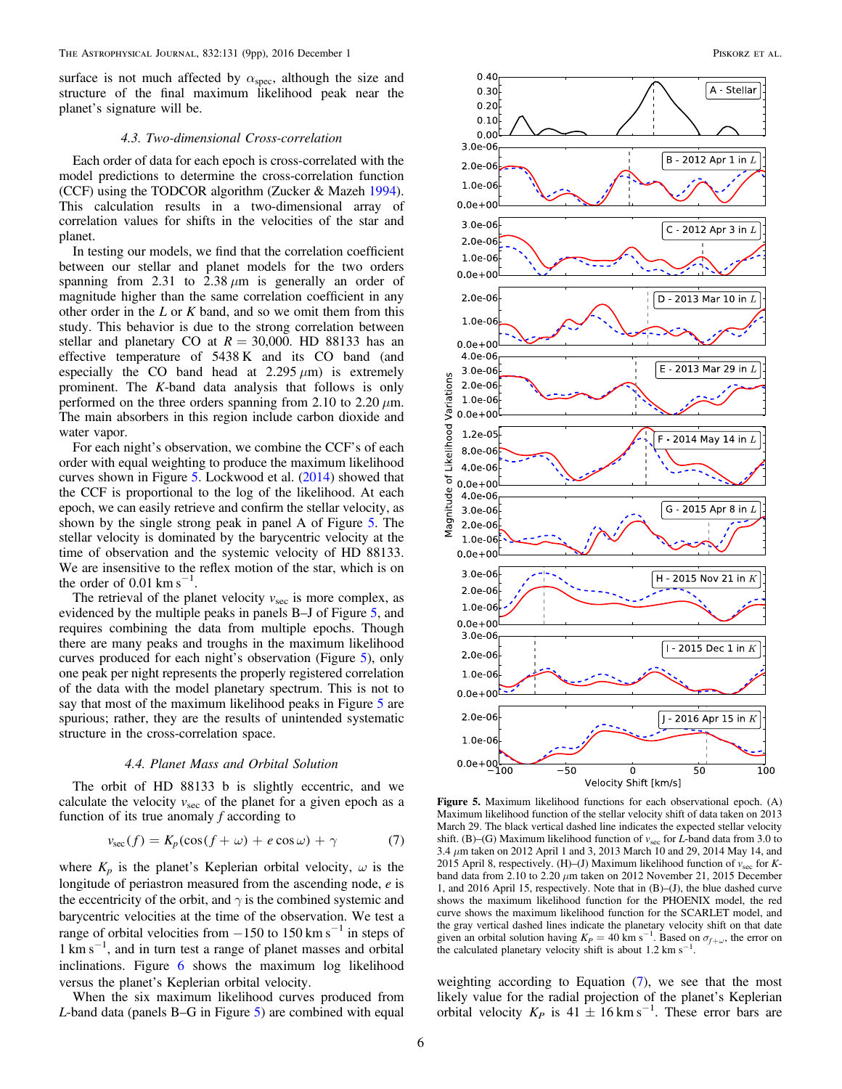surface is not much affected by  $\alpha_{\rm spec}$ , although the size and structure of the final maximum likelihood peak near the planet's signature will be.

### 4.3. Two-dimensional Cross-correlation

<span id="page-5-0"></span>Each order of data for each epoch is cross-correlated with the model predictions to determine the cross-correlation function (CCF) using the TODCOR algorithm (Zucker & Mazeh [1994](#page-8-34)). This calculation results in a two-dimensional array of correlation values for shifts in the velocities of the star and planet.

In testing our models, we find that the correlation coefficient between our stellar and planet models for the two orders spanning from 2.31 to  $2.38 \mu m$  is generally an order of magnitude higher than the same correlation coefficient in any other order in the  $L$  or  $K$  band, and so we omit them from this study. This behavior is due to the strong correlation between stellar and planetary CO at  $R = 30,000$ . HD 88133 has an effective temperature of 5438 K and its CO band (and especially the CO band head at  $2.295 \mu m$  is extremely prominent. The K-band data analysis that follows is only performed on the three orders spanning from 2.10 to 2.20  $\mu$ m. The main absorbers in this region include carbon dioxide and water vapor.

For each night's observation, we combine the CCF's of each order with equal weighting to produce the maximum likelihood curves shown in Figure [5](#page-5-1). Lockwood et al. ([2014](#page-8-15)) showed that the CCF is proportional to the log of the likelihood. At each epoch, we can easily retrieve and confirm the stellar velocity, as shown by the single strong peak in panel A of Figure [5.](#page-5-1) The stellar velocity is dominated by the barycentric velocity at the time of observation and the systemic velocity of HD 88133. We are insensitive to the reflex motion of the star, which is on the order of  $0.01 \text{ km s}^{-1}$ .

The retrieval of the planet velocity  $v_{\text{sec}}$  is more complex, as evidenced by the multiple peaks in panels B–J of Figure [5,](#page-5-1) and requires combining the data from multiple epochs. Though there are many peaks and troughs in the maximum likelihood curves produced for each night's observation (Figure [5](#page-5-1)), only one peak per night represents the properly registered correlation of the data with the model planetary spectrum. This is not to say that most of the maximum likelihood peaks in Figure [5](#page-5-1) are spurious; rather, they are the results of unintended systematic structure in the cross-correlation space.

### 4.4. Planet Mass and Orbital Solution

<span id="page-5-2"></span>The orbit of HD 88133 b is slightly eccentric, and we calculate the velocity  $v_{\text{sec}}$  of the planet for a given epoch as a function of its true anomaly  $f$  according to

$$
v_{\rm sec}(f) = K_p(\cos(f + \omega) + e \cos \omega) + \gamma \tag{7}
$$

where  $K_p$  is the planet's Keplerian orbital velocity,  $\omega$  is the longitude of periastron measured from the ascending node, e is the eccentricity of the orbit, and  $\gamma$  is the combined systemic and barycentric velocities at the time of the observation. We test a range of orbital velocities from  $-150$  to  $150 \text{ km s}^{-1}$  in steps of 1 km s−<sup>1</sup> , and in turn test a range of planet masses and orbital inclinations. Figure [6](#page-6-1) shows the maximum log likelihood versus the planet's Keplerian orbital velocity.

When the six maximum likelihood curves produced from L-band data (panels B–G in Figure [5](#page-5-1)) are combined with equal

<span id="page-5-1"></span>

Figure 5. Maximum likelihood functions for each observational epoch. (A) Maximum likelihood function of the stellar velocity shift of data taken on 2013 March 29. The black vertical dashed line indicates the expected stellar velocity shift. (B)–(G) Maximum likelihood function of  $v_{\text{sec}}$  for L-band data from 3.0 to 3.4 μm taken on 2012 April 1 and 3, 2013 March 10 and 29, 2014 May 14, and 2015 April 8, respectively. (H)–(J) Maximum likelihood function of  $v_{\text{sec}}$  for Kband data from 2.10 to 2.20  $\mu$ m taken on 2012 November 21, 2015 December 1, and 2016 April 15, respectively. Note that in (B)–(J), the blue dashed curve shows the maximum likelihood function for the PHOENIX model, the red curve shows the maximum likelihood function for the SCARLET model, and the gray vertical dashed lines indicate the planetary velocity shift on that date given an orbital solution having  $K_P = 40 \text{ km s}^{-1}$ . Based on  $\sigma_{f+\omega}$ , the error on the calculated planetary velocity shift is about 1.2 km s<sup>−1</sup> .

weighting according to Equation ([7](#page-5-2)), we see that the most likely value for the radial projection of the planet's Keplerian orbital velocity  $K_P$  is 41 ± 16 km s<sup>-1</sup>. These error bars are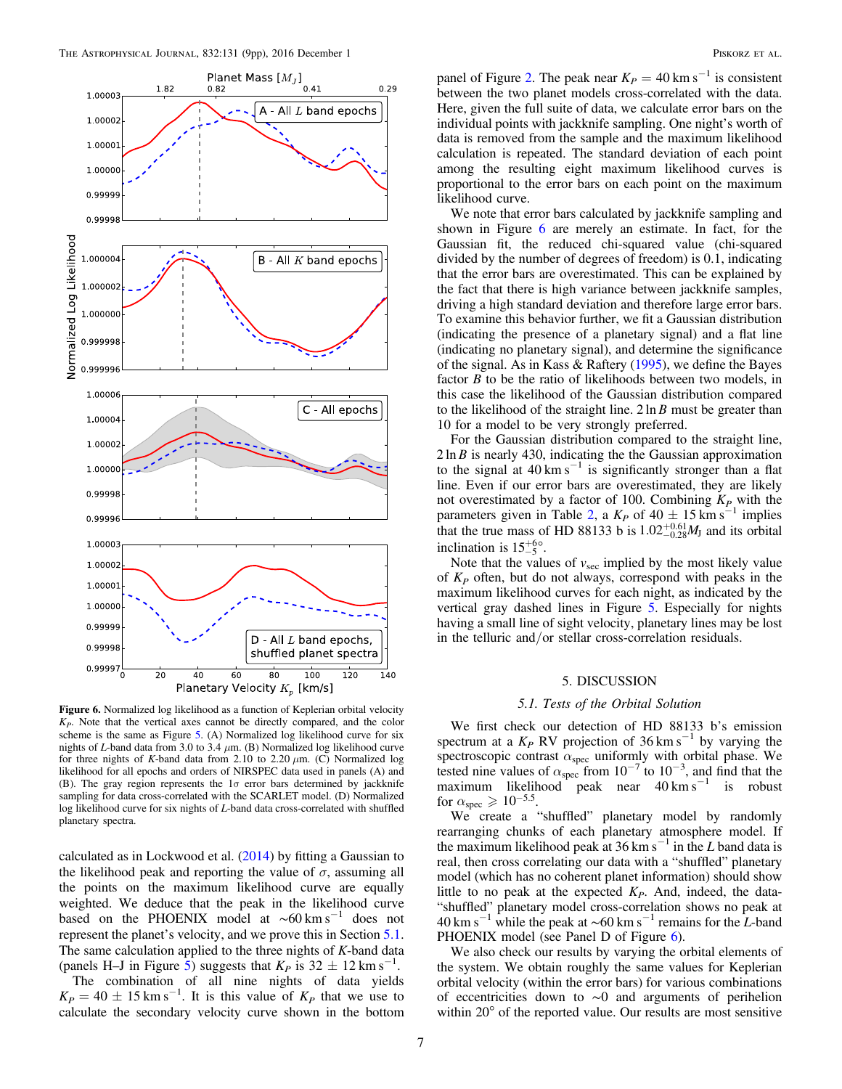<span id="page-6-1"></span>

Figure 6. Normalized log likelihood as a function of Keplerian orbital velocity  $K<sub>P</sub>$ . Note that the vertical axes cannot be directly compared, and the color scheme is the same as Figure [5.](#page-5-1) (A) Normalized log likelihood curve for six nights of L-band data from 3.0 to 3.4  $\mu$ m. (B) Normalized log likelihood curve for three nights of K-band data from 2.10 to 2.20  $\mu$ m. (C) Normalized log likelihood for all epochs and orders of NIRSPEC data used in panels (A) and (B). The gray region represents the  $1\sigma$  error bars determined by jackknife sampling for data cross-correlated with the SCARLET model. (D) Normalized log likelihood curve for six nights of L-band data cross-correlated with shuffled planetary spectra.

calculated as in Lockwood et al. ([2014](#page-8-15)) by fitting a Gaussian to the likelihood peak and reporting the value of  $\sigma$ , assuming all the points on the maximum likelihood curve are equally weighted. We deduce that the peak in the likelihood curve based on the PHOENIX model at  $~\sim 60~{\rm km\,s}^{-1}$  does not represent the planet's velocity, and we prove this in Section [5.1.](#page-6-2) The same calculation applied to the three nights of  $K$ -band data (panels H–J in Figure [5](#page-5-1)) suggests that  $K_P$  is 32  $\pm$  12 km s<sup>-1</sup>.

The combination of all nine nights of data yields  $K_P = 40 \pm 15$  km s<sup>-1</sup>. It is this value of  $K_P$  that we use to calculate the secondary velocity curve shown in the bottom panel of Figure [2.](#page-2-1) The peak near  $K_P = 40 \text{ km s}^{-1}$  is consistent between the two planet models cross-correlated with the data. Here, given the full suite of data, we calculate error bars on the individual points with jackknife sampling. One night's worth of data is removed from the sample and the maximum likelihood calculation is repeated. The standard deviation of each point among the resulting eight maximum likelihood curves is proportional to the error bars on each point on the maximum likelihood curve.

We note that error bars calculated by jackknife sampling and shown in Figure [6](#page-6-1) are merely an estimate. In fact, for the Gaussian fit, the reduced chi-squared value (chi-squared divided by the number of degrees of freedom) is 0.1, indicating that the error bars are overestimated. This can be explained by the fact that there is high variance between jackknife samples, driving a high standard deviation and therefore large error bars. To examine this behavior further, we fit a Gaussian distribution (indicating the presence of a planetary signal) and a flat line (indicating no planetary signal), and determine the significance of the signal. As in Kass & Raftery ([1995](#page-8-46)), we define the Bayes factor  $B$  to be the ratio of likelihoods between two models, in this case the likelihood of the Gaussian distribution compared to the likelihood of the straight line. 2 ln *B* must be greater than 10 for a model to be very strongly preferred.

For the Gaussian distribution compared to the straight line, 2 ln *B* is nearly 430, indicating the the Gaussian approximation to the signal at  $40 \text{ km s}^{-1}$  is significantly stronger than a flat line. Even if our error bars are overestimated, they are likely not overestimated by a factor of 100. Combining  $K_P$  with the parameters given in Table [2](#page-2-0), a  $K_P$  of 40  $\pm$  15 km s<sup>-1</sup> implies that the true mass of HD 88133 b is  $1.02^{+0.61}_{-0.28}M_J$  and its orbital inclination is  $15^{+6<sub>o</sub>}$ .

Note that the values of  $v<sub>sec</sub>$  implied by the most likely value of  $K_P$  often, but do not always, correspond with peaks in the maximum likelihood curves for each night, as indicated by the vertical gray dashed lines in Figure [5](#page-5-1). Especially for nights having a small line of sight velocity, planetary lines may be lost in the telluric and/or stellar cross-correlation residuals.

#### 5. DISCUSSION

### 5.1. Tests of the Orbital Solution

<span id="page-6-2"></span><span id="page-6-0"></span>We first check our detection of HD 88133 b's emission spectrum at a  $K_P$  RV projection of 36 km s<sup>-1</sup> by varying the spectroscopic contrast  $\alpha_{\rm spec}$  uniformly with orbital phase. We tested nine values of  $\alpha_{\text{spec}}$  from 10<sup>-7</sup> to 10<sup>-3</sup>, and find that the maximum likelihood peak near  $40 \text{ km s}^{-1}$  is robust for  $\alpha_{\rm spec} \geqslant 10^{-5.5}$ .

We create a "shuffled" planetary model by randomly rearranging chunks of each planetary atmosphere model. If the maximum likelihood peak at 36 km s<sup> $-1$ </sup> in the L band data is real, then cross correlating our data with a "shuffled" planetary model (which has no coherent planet information) should show little to no peak at the expected  $K<sub>P</sub>$ . And, indeed, the data-"shuffled" planetary model cross-correlation shows no peak at 40 km s<sup>-1</sup> while the peak at ~60 km s<sup>-1</sup> remains for the L-band PHOENIX model (see Panel D of Figure [6](#page-6-1)).

We also check our results by varying the orbital elements of the system. We obtain roughly the same values for Keplerian orbital velocity (within the error bars) for various combinations of eccentricities down to ∼0 and arguments of perihelion within 20° of the reported value. Our results are most sensitive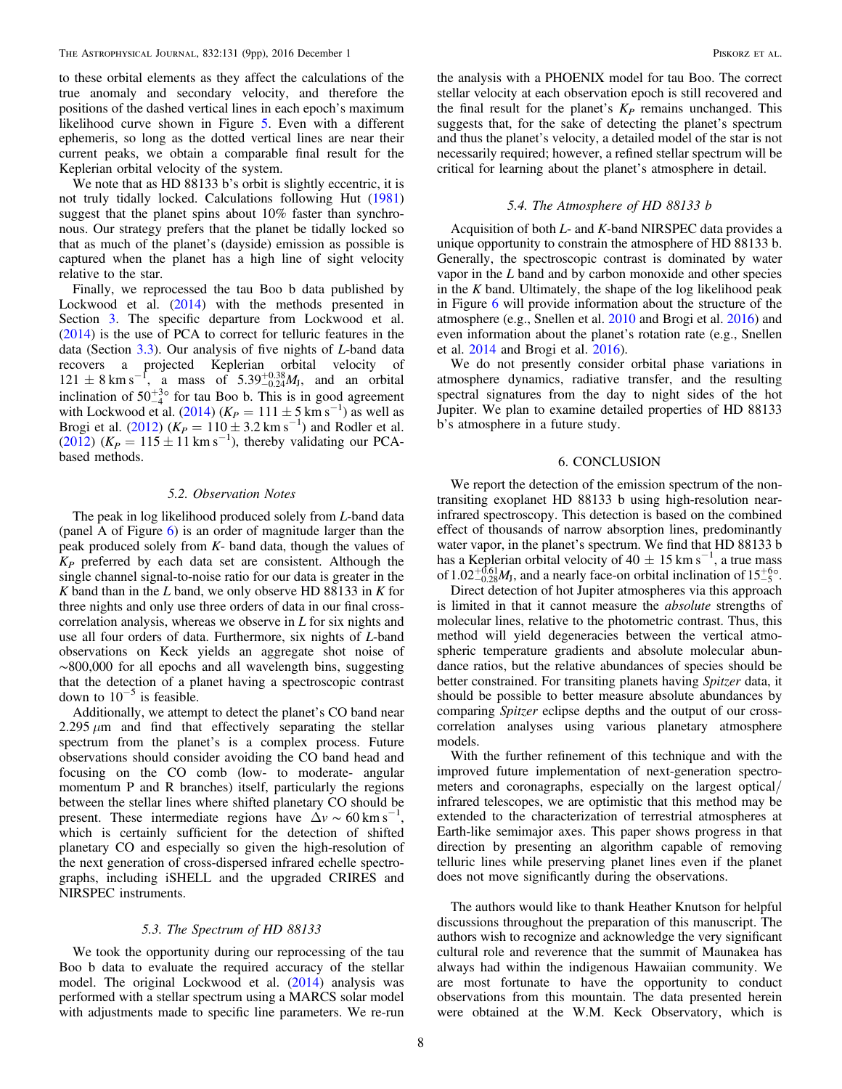to these orbital elements as they affect the calculations of the true anomaly and secondary velocity, and therefore the positions of the dashed vertical lines in each epoch's maximum likelihood curve shown in Figure [5.](#page-5-1) Even with a different ephemeris, so long as the dotted vertical lines are near their current peaks, we obtain a comparable final result for the Keplerian orbital velocity of the system.

We note that as HD 88133 b's orbit is slightly eccentric, it is not truly tidally locked. Calculations following Hut ([1981](#page-8-47)) suggest that the planet spins about 10% faster than synchronous. Our strategy prefers that the planet be tidally locked so that as much of the planet's (dayside) emission as possible is captured when the planet has a high line of sight velocity relative to the star.

Finally, we reprocessed the tau Boo b data published by Lockwood et al. ([2014](#page-8-15)) with the methods presented in Section [3](#page-1-1). The specific departure from Lockwood et al. ([2014](#page-8-15)) is the use of PCA to correct for telluric features in the data (Section [3.3](#page-2-4)). Our analysis of five nights of L-band data recovers a projected Keplerian orbital velocity of  $121 \pm 8 \text{ km s}^{-1}$ , a mass of  $5.39^{+0.38}_{-0.24} M_J$ , and an orbital inclination of  $50^{+3\circ}_{-4}$  for tau Boo b. This is in good agreement with Lockwood et al. ([2014](#page-8-15)) ( $K_P = 111 \pm 5$  km s<sup>-1</sup>) as well as Brogi et al. ([2012](#page-8-5)) ( $K_P = 110 \pm 3.2$  km s<sup>-1</sup>) and Rodler et al. ([2012](#page-8-9))  $(K_P = 115 \pm 11 \text{ km s}^{-1})$ , thereby validating our PCAbased methods.

#### 5.2. Observation Notes

The peak in log likelihood produced solely from L-band data (panel A of Figure  $6$ ) is an order of magnitude larger than the peak produced solely from  $K$ - band data, though the values of  $K_P$  preferred by each data set are consistent. Although the single channel signal-to-noise ratio for our data is greater in the  $K$  band than in the  $L$  band, we only observe HD 88133 in  $K$  for three nights and only use three orders of data in our final crosscorrelation analysis, whereas we observe in  $L$  for six nights and use all four orders of data. Furthermore, six nights of L-band observations on Keck yields an aggregate shot noise of ∼800,000 for all epochs and all wavelength bins, suggesting that the detection of a planet having a spectroscopic contrast down to  $10^{-5}$  is feasible.

Additionally, we attempt to detect the planet's CO band near 2.295  $\mu$ m and find that effectively separating the stellar spectrum from the planet's is a complex process. Future observations should consider avoiding the CO band head and focusing on the CO comb (low- to moderate- angular momentum P and R branches) itself, particularly the regions between the stellar lines where shifted planetary CO should be present. These intermediate regions have  $\Delta v \sim 60 \text{ km s}^{-1}$ , which is certainly sufficient for the detection of shifted planetary CO and especially so given the high-resolution of the next generation of cross-dispersed infrared echelle spectrographs, including iSHELL and the upgraded CRIRES and NIRSPEC instruments.

# 5.3. The Spectrum of HD 88133

We took the opportunity during our reprocessing of the tau Boo b data to evaluate the required accuracy of the stellar model. The original Lockwood et al. ([2014](#page-8-15)) analysis was performed with a stellar spectrum using a MARCS solar model with adjustments made to specific line parameters. We re-run

the analysis with a PHOENIX model for tau Boo. The correct stellar velocity at each observation epoch is still recovered and the final result for the planet's  $K_P$  remains unchanged. This suggests that, for the sake of detecting the planet's spectrum and thus the planet's velocity, a detailed model of the star is not necessarily required; however, a refined stellar spectrum will be critical for learning about the planet's atmosphere in detail.

#### 5.4. The Atmosphere of HD 88133 b

Acquisition of both  $L$ - and  $K$ -band NIRSPEC data provides a unique opportunity to constrain the atmosphere of HD 88133 b. Generally, the spectroscopic contrast is dominated by water vapor in the L band and by carbon monoxide and other species in the  $K$  band. Ultimately, the shape of the log likelihood peak in Figure [6](#page-6-1) will provide information about the structure of the atmosphere (e.g., Snellen et al. [2010](#page-8-3) and Brogi et al. [2016](#page-8-8)) and even information about the planet's rotation rate (e.g., Snellen et al. [2014](#page-8-12) and Brogi et al. [2016](#page-8-8)).

We do not presently consider orbital phase variations in atmosphere dynamics, radiative transfer, and the resulting spectral signatures from the day to night sides of the hot Jupiter. We plan to examine detailed properties of HD 88133 b's atmosphere in a future study.

### 6. CONCLUSION

We report the detection of the emission spectrum of the nontransiting exoplanet HD 88133 b using high-resolution nearinfrared spectroscopy. This detection is based on the combined effect of thousands of narrow absorption lines, predominantly water vapor, in the planet's spectrum. We find that HD 88133 b has a Keplerian orbital velocity of 40  $\pm$  15 km s<sup>-1</sup>, a true mass of  $1.02^{+0.61}_{-0.28}M_J$ , and a nearly face-on orbital inclination of  $15^{+60}_{-5}$ .

Direct detection of hot Jupiter atmospheres via this approach is limited in that it cannot measure the absolute strengths of molecular lines, relative to the photometric contrast. Thus, this method will yield degeneracies between the vertical atmospheric temperature gradients and absolute molecular abundance ratios, but the relative abundances of species should be better constrained. For transiting planets having Spitzer data, it should be possible to better measure absolute abundances by comparing Spitzer eclipse depths and the output of our crosscorrelation analyses using various planetary atmosphere models.

With the further refinement of this technique and with the improved future implementation of next-generation spectrometers and coronagraphs, especially on the largest optical/ infrared telescopes, we are optimistic that this method may be extended to the characterization of terrestrial atmospheres at Earth-like semimajor axes. This paper shows progress in that direction by presenting an algorithm capable of removing telluric lines while preserving planet lines even if the planet does not move significantly during the observations.

The authors would like to thank Heather Knutson for helpful discussions throughout the preparation of this manuscript. The authors wish to recognize and acknowledge the very significant cultural role and reverence that the summit of Maunakea has always had within the indigenous Hawaiian community. We are most fortunate to have the opportunity to conduct observations from this mountain. The data presented herein were obtained at the W.M. Keck Observatory, which is